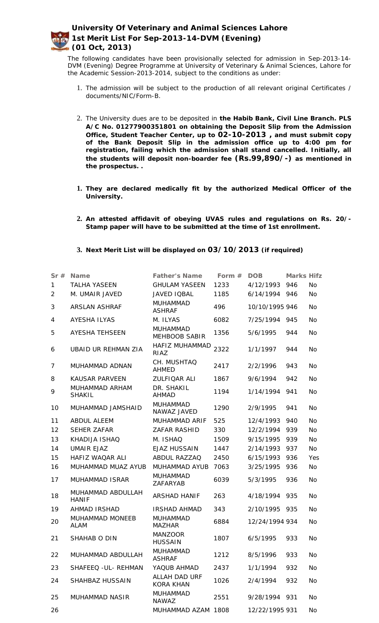

The following candidates have been provisionally selected for admission in Sep-2013-14- DVM (Evening) Degree Programme at University of Veterinary & Animal Sciences, Lahore for the Academic Session-2013-2014, subject to the conditions as under:

- 1. The admission will be subject to the production of all relevant original Certificates / documents/NIC/Form-B.
- 2. The University dues are to be deposited in **the Habib Bank, Civil Line Branch. PLS A/C No. 01277900351801 on obtaining the Deposit Slip from the Admission Office, Student Teacher Center, up to 02-10-2013 , and must submit copy of the Bank Deposit Slip in the admission office up to 4:00 pm for registration, failing which the admission shall stand cancelled. Initially, all the students will deposit non-boarder fee (Rs.99,890/-) as mentioned in the prospectus. .**
- **1. They are declared medically fit by the authorized Medical Officer of the University.**
- **2. An attested affidavit of obeying UVAS rules and regulations on Rs. 20/- Stamp paper will have to be submitted at the time of 1st enrollment.**
- **3. Next Merit List will be displayed on 03/10/2013 (if required)**

| Sr#            | Name                                  | Father's Name                     | Form $#$ | <b>DOB</b>     | Marks Hifz |           |
|----------------|---------------------------------------|-----------------------------------|----------|----------------|------------|-----------|
| 1              | <b>TALHA YASEEN</b>                   | <b>GHULAM YASEEN</b>              | 1233     | 4/12/1993      | 946        | <b>No</b> |
| $\overline{2}$ | M. UMAIR JAVED                        | JAVED IQBAL                       | 1185     | 6/14/1994      | 946        | <b>No</b> |
| 3              | ARSLAN ASHRAF                         | <b>MUHAMMAD</b><br><b>ASHRAF</b>  | 496      | 10/10/1995 946 |            | <b>No</b> |
| 4              | <b>AYESHA ILYAS</b>                   | M. ILYAS                          | 6082     | 7/25/1994      | 945        | <b>No</b> |
| 5              | <b>AYESHA TEHSEEN</b>                 | <b>MUHAMMAD</b><br>MEHBOOB SABIR  | 1356     | 5/6/1995       | 944        | <b>No</b> |
| 6              | <b>UBAID UR REHMAN ZIA</b>            | HAFIZ MUHAMMAD<br>RIAZ            | 2322     | 1/1/1997       | 944        | <b>No</b> |
| 7              | MUHAMMAD ADNAN                        | CH. MUSHTAQ<br><b>AHMED</b>       | 2417     | 2/2/1996       | 943        | <b>No</b> |
| 8              | <b>KAUSAR PARVEEN</b>                 | ZULFIQAR ALI                      | 1867     | 9/6/1994       | 942        | <b>No</b> |
| 9              | MUHAMMAD ARHAM<br><b>SHAKIL</b>       | DR. SHAKIL<br><b>AHMAD</b>        | 1194     | 1/14/1994      | 941        | <b>No</b> |
| 10             | MUHAMMAD JAMSHAID                     | <b>MUHAMMAD</b><br>NAWAZ JAVED    | 1290     | 2/9/1995       | 941        | <b>No</b> |
| 11             | ABDUL ALEEM                           | MUHAMMAD ARIF                     | 525      | 12/4/1993      | 940        | <b>No</b> |
| 12             | <b>SEHER ZAFAR</b>                    | ZAFAR RASHID                      | 330      | 12/2/1994      | 939        | <b>No</b> |
| 13             | KHADIJA ISHAQ                         | M. ISHAQ                          | 1509     | 9/15/1995      | 939        | <b>No</b> |
| 14             | UMAIR EJAZ                            | <b>EJAZ HUSSAIN</b>               | 1447     | 2/14/1993      | 937        | <b>No</b> |
| 15             | HAFIZ WAQAR ALI                       | ABDUL RAZZAQ                      | 2450     | 6/15/1993      | 936        | Yes       |
| 16             | MUHAMMAD MUAZ AYUB                    | MUHAMMAD AYUB                     | 7063     | 3/25/1995      | 936        | <b>No</b> |
| 17             | <b>MUHAMMAD ISRAR</b>                 | <b>MUHAMMAD</b><br>ZAFARYAB       | 6039     | 5/3/1995       | 936        | <b>No</b> |
| 18             | MUHAMMAD ABDULLAH<br><b>HANIF</b>     | <b>ARSHAD HANIF</b>               | 263      | 4/18/1994      | 935        | <b>No</b> |
| 19             | AHMAD IRSHAD                          | <b>IRSHAD AHMAD</b>               | 343      | 2/10/1995      | 935        | No        |
| 20             | <b>MUHAMMAD MONEEB</b><br><b>ALAM</b> | <b>MUHAMMAD</b><br><b>MAZHAR</b>  | 6884     | 12/24/1994 934 |            | <b>No</b> |
| 21             | SHAHAB O DIN                          | <b>MANZOOR</b><br><b>HUSSAIN</b>  | 1807     | 6/5/1995       | 933        | No        |
| 22             | MUHAMMAD ABDULLAH                     | MUHAMMAD<br><b>ASHRAF</b>         | 1212     | 8/5/1996       | 933        | No        |
| 23             | SHAFEEQ - UL- REHMAN                  | YAQUB AHMAD                       | 2437     | 1/1/1994       | 932        | <b>No</b> |
| 24             | SHAHBAZ HUSSAIN                       | ALLAH DAD URF<br><b>KORA KHAN</b> | 1026     | 2/4/1994       | 932        | <b>No</b> |
| 25             | MUHAMMAD NASIR                        | <b>MUHAMMAD</b><br><b>NAWAZ</b>   | 2551     | 9/28/1994      | 931        | No        |
| 26             |                                       | MUHAMMAD AZAM 1808                |          | 12/22/1995 931 |            | No        |